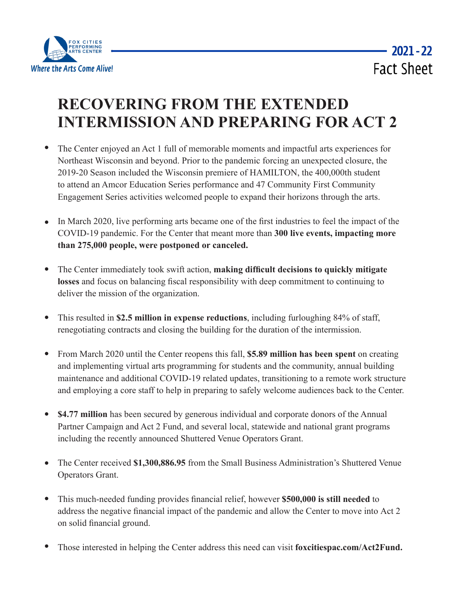

## **RECOVERING FROM THE EXTENDED INTERMISSION AND PREPARING FOR ACT 2**

- $\bullet$ The Center enjoyed an Act 1 full of memorable moments and impactful arts experiences for Northeast Wisconsin and beyond. Prior to the pandemic forcing an unexpected closure, the 2019-20 Season included the Wisconsin premiere of HAMILTON, the 400,000th student to attend an Amcor Education Series performance and 47 Community First Community Engagement Series activities welcomed people to expand their horizons through the arts.
- In March 2020, live performing arts became one of the first industries to feel the impact of the  $\bullet$ COVID-19 pandemic. For the Center that meant more than **300 live events, impacting more than 275,000 people, were postponed or canceled.**
- $\bullet$ The Center immediately took swift action, **making difficult decisions to quickly mitigate losses** and focus on balancing fiscal responsibility with deep commitment to continuing to deliver the mission of the organization.
- This resulted in **\$2.5 million in expense reductions**, including furloughing 84% of staff, renegotiating contracts and closing the building for the duration of the intermission.
- $\bullet$ From March 2020 until the Center reopens this fall, **\$5.89 million has been spent** on creating and implementing virtual arts programming for students and the community, annual building maintenance and additional COVID-19 related updates, transitioning to a remote work structure and employing a core staff to help in preparing to safely welcome audiences back to the Center.
- **\$4.77 million** has been secured by generous individual and corporate donors of the Annual Partner Campaign and Act 2 Fund, and several local, statewide and national grant programs including the recently announced Shuttered Venue Operators Grant.
- The Center received **\$1,300,886.95** from the Small Business Administration's Shuttered Venue  $\bullet$ Operators Grant.
- $\bullet$ This much-needed funding provides financial relief, however **\$500,000 is still needed** to address the negative financial impact of the pandemic and allow the Center to move into Act 2 on solid financial ground.
- Those interested in helping the Center address this need can visit **foxcitiespac.com/Act2Fund.**